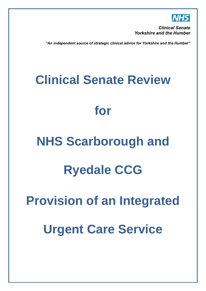

**Clinical Senate Yorkshire and the Humber** 

"An independent source of strategic clinical advice for Yorkshire and the Humber"

# **Clinical Senate Review**

# **for**

# **NHS Scarborough and**

# **Ryedale CCG**

# **Provision of an Integrated**

# **Urgent Care Service**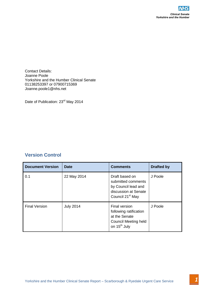

### **Version Control**

|                                                                                                                                            |                  |                                                                                                                     | <b>Clinical S</b><br>Yorkshire and the Hu |
|--------------------------------------------------------------------------------------------------------------------------------------------|------------------|---------------------------------------------------------------------------------------------------------------------|-------------------------------------------|
| <b>Contact Details:</b><br>Joanne Poole<br>Yorkshire and the Humber Clinical Senate<br>01138253397 or 07900715369<br>Joanne.poole1@nhs.net |                  |                                                                                                                     |                                           |
| Date of Publication: 23rd May 2014<br><b>Version Control</b>                                                                               |                  |                                                                                                                     |                                           |
|                                                                                                                                            |                  |                                                                                                                     |                                           |
| <b>Document Version</b>                                                                                                                    | <b>Date</b>      | <b>Comments</b>                                                                                                     | <b>Drafted by</b>                         |
| 0.1                                                                                                                                        | 22 May 2014      | Draft based on<br>submitted comments<br>by Council lead and<br>discussion at Senate<br>Council 21 <sup>st</sup> May | J Poole                                   |
| <b>Final Version</b>                                                                                                                       | <b>July 2014</b> | Final version<br>following ratification<br>at the Senate<br>Council Meeting held<br>on 15 <sup>th</sup> July        | J Poole                                   |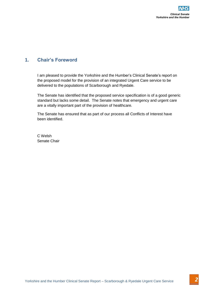## **1. Chair's Foreword**

Yorkshire and the Humber Clinical Senate is reported the proposed model for the proposed model for the proposed model of the proposed provide and delivered to the populations of Scarborough and Ryedale.<br>The Senate has iden I am pleased to provide the Yorkshire and the Humber's Clinical Senate's report on the proposed model for the provision of an integrated Urgent Care service to be delivered to the populations of Scarborough and Ryedale.

The Senate has identified that the proposed service specification is of a good generic standard but lacks some detail. The Senate notes that emergency and urgent care are a vitally important part of the provision of healthcare.

The Senate has ensured that as part of our process all Conflicts of Interest have been identified.

C Welsh Senate Chair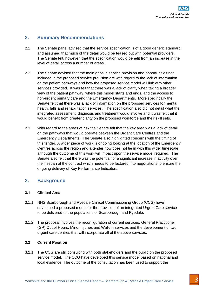### **2. Summary Recommendations**

- 2.1 The Senate panel advised that the service specification is of a good generic standard and assumed that much of the detail would be teased out with potential providers. The Senate felt, however, that the specification would benefit from an increase in the level of detail across a number of areas.
- Yorkshire and the Senate parallel and the Humber Lemannia and the Senate Report of the Humber Clinical Senate Report and the Humber Clinical Senate Report Form an increase in The Senate Report of the Humber Clinical Servic 2.2 The Senate advised that the main gaps in service provision and opportunities not included in the proposed service provision are with regard to the lack of information on the patient pathways and how the proposed service model will link with other services provided. It was felt that there was a lack of clarity when taking a broader view of the patient pathway, where this model starts and ends, and the access to non-urgent primary care and the Emergency Departments. More specifically the Senate felt that there was a lack of information on the proposed services for mental health, falls and rehabilitation services. The specification also did not detail what the integrated assessment, diagnosis and treatment would involve and it was felt that it would benefit from greater clarity on the proposed workforce and their skill sets.
- 2.3 With regard to the areas of risk the Senate felt that the key area was a lack of detail on the pathways that would operate between the Urgent Care Centres and the Emergency Departments. The Senate also highlighted concerns with the timing of this tender. A wider piece of work is ongoing looking at the location of the Emergency Centres across the region and a tender now does not tie in with this wider timescale although the outcome of this work will impact upon the service model required. The Senate also felt that there was the potential for a significant increase in activity over the lifespan of the contract which needs to be factored into negotiations to ensure the ongoing delivery of Key Performance Indicators.

### **3. Background**

### **3.1 Clinical Area**

- 3.1.1 NHS Scarborough and Ryedale Clinical Commissioning Group (CCG) have developed a proposed model for the provision of an integrated Urgent Care service to be delivered to the populations of Scarborough and Ryedale.
- 3.1.2 The proposal involves the reconfiguration of current services, General Practitioner (GP) Out of Hours, Minor injuries and Walk in services and the development of two urgent care centres that will incorporate all of the above services.

### **3.2 Current Position**

3.2.1 The CCG are still consulting with both stakeholders and the public on the proposed service model. The CCG have developed this service model based on national and local evidence. The outcome of the consultation has been used to support the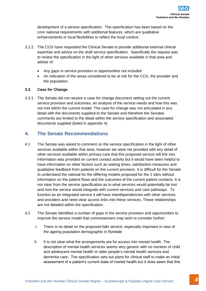development of a service specification. The specification has been based on the core national requirements with additional features, which are qualitative enhancements or local flexibilities to reflect the local context.

- 3.2.2. The CCG have requested the Clinical Senate to provide additional external clinical expertise and advice on the draft service specification. Specifically the request was to review the specification in the light of other services available in that area and advise of:
	- Any gaps in service provision or opportunities not included
	- An indication of the areas considered to be at risk for the CCG, the provider and the population.

### **3.3 Case for Change**

3.3.1 The Senate did not receive a case for change document setting out the current service provision and outcomes, an analysis of the service needs and how this was not met within the current model. The case for change was not articulated in any detail with the documents supplied to the Senate and therefore the Senates comments are limited to the detail within the service specification and associated documents supplied (listed in appendix 4)

### **4. The Senate Recommendations**

- Yorkshire and the method is an existential service specification. The specification has been based on the method conditions in the method conditions of the Humber Clinical Secure Conditions (and the Humber Clinical Secure 4.1 The Senate was asked to comment on the service specification in the light of other services available within that area, however we were not provided with any detail of other services available within primary care that this proposed service will link into. Information was provided on current contact activity but it would have been helpful to have information on other factors such as waiting times, satisfaction measures and qualitative feedback from patients on the current provision. It is difficult for the Senate to understand the rational for the differing models proposed for the 2 sites without information on the patient flows and the outcomes of the current patient contacts. It is not clear from the service specification as to what services would potentially be lost and how the service would integrate with current services and care pathways. To function as an integrated service it will have interdependencies with other services and providers and need clear access links into these services. These relationships are not detailed within the specification.
- 4.2 The Senate identified a number of gaps in the service provision and opportunities to improve the service model that commissioners may wish to consider further:
	- I. There is no detail on the proposed falls service, especially important in view of the ageing population demographic in Ryedale
	- II. It is not clear what the arrangements are for access into mental health. The description of mental health services seems very generic with no mention of child and adolescent mental health or older people's mental health services and dementia care. The specification sets out plans for clinical staff to make an initial assessment of a patient's current state of mental health but it does seem that this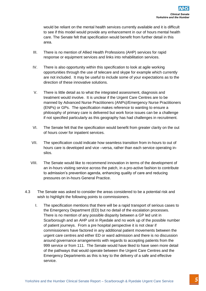would be reliant on the mental health services currently available and it is difficult to see if this model would provide any enhancement in our of hours mental health care. The Senate felt that specification would benefit from further detail in this area.

- III. There is no mention of Allied Health Professions (AHP) services for rapid response or equipment services and links into rehabilitation services.
- IV. There is also opportunity within this specification to look at agile working opportunities through the use of telecare and skype for example which currently are not included. It may be useful to include some of your expectations as to the direction of these innovative solutions.
- V. There is little detail as to what the integrated assessment, diagnosis and treatment would involve. It is unclear if the Urgent Care Centres are to be manned by Advanced Nurse Practitioners (ANPs)/Emergency Nurse Practitioners (ENPs) or GPs. The specification makes reference to wanting to ensure a philosophy of primary care is delivered but work force issues can be a challenge if not specified particularly as this geography has had challenges in recruitment.
- VI. The Senate felt that the specification would benefit from greater clarity on the out of hours cover for inpatient services.
- VII. The specification could indicate how seamless transition from in-hours to out of hours care is developed and vice –versa, rather than each service operating insilos.
- VIII. The Senate would like to recommend innovation in terms of the development of an in-hours visiting service across the patch, in a pro-active fashion to contribute to admission's prevention agenda, enhancing quality of care and reducing pressures on in-hours General Practice.
- 4.3 The Senate was asked to consider the areas considered to be a potential risk and wish to highlight the following points to commissioners.
- Yorkshire and the mental health services currently available and<br>the senate that is difficult and the difficult and the difficult and<br>the mental in the senate and the difficult and the senate Report in the senate Clinical I. The specification mentions that there will be a rapid transport of serious cases to the Emergency Department (ED) but no detail of the escalation processes. There is no mention of any possible disparity between a GP led unit in Scarborough and an AHP unit in Ryedale and no work up of the possible number of patient journeys. From a pre hospital perspective it is not clear if commissioners have factored in any additional patient movements between the urgent care centres and either ED or ward admission and there is no discussion around governance arrangements with regards to accepting patients from the 999 service or from 111. The Senate would have liked to have seen more detail of the pathways that would operate between the Urgent Care Centres and the Emergency Departments as this is key to the delivery of a safe and effective service.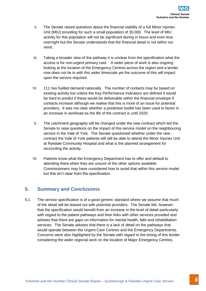- II. The Senate raised questions about the financial viability of a full Minor Injuries Unit (MIU) providing for such a small population of 30,000. The level of MIU activity for this population will not be significant during in hours and even less overnight but the Senate understands that the financial detail is not within our remit.
- III. Taking a broader view of the pathway it is unclear from the specification what the access is for non-urgent primary care. A wider piece of work is also ongoing looking at the location of the Emergency Centres across the region and a tender now does not tie in with this wider timescale yet the outcome of this will impact upon the service required.
- IV. 111 has fuelled demand nationally. The number of contacts may be based on existing activity but unless the Key Performance Indicators are defined it would be hard to predict if these would be deliverable within the financial envelope if contacts increase although we realise that this is more of an issue for potential providers. It was not clear whether a predictive toolkit has been used to factor in an increase in workload as the life of the contract is until 2020.
- V. The catchment geography will be changed under the new contract which led the Senate to raise questions on the impact of this service model on the neighbouring service in the Vale of York. The Senate questioned whether under the new contract the Vale of York patients will still be able to attend the Minor Injuries Unit at Ryedale Community Hospital and what is the planned arrangement for reconciling the activity.
- VI. Patients know what the Emergency Department has to offer and default to attending there when they are unsure of the other options available. Commissioners may have considered how to avoid that within this service model but this isn't clear from the specification.

### **5. Summary and Conclusions**

Yorkshire and research research research research research research in the Humber Linical Service Constrained CARE (with the Humber Clinical Service Clinical Service Clinical Service Constrained CARE (with the Humber Care 5.1 The service specification is of a good generic standard where we assume that much of the detail will be teased out with potential providers. The Senate felt, however, that the specification would benefit from an increase in the level of detail particularly with regard to the patient pathways and their links with other services provided and advises that there are gaps on information for mental health, falls and rehabilitation services. The Senate advises that there is a lack of detail on the pathways that would operate between the Urgent Care Centres and the Emergency Departments. Concerns were also highlighted by the Senate with regard to the timing of this tender considering the wider regional work on the location of Major Emergency Centres.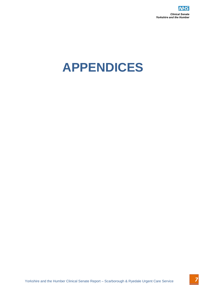

# Yorkshire and the Humber Clinical Senate Report – Scarborough & Ryedale Urgent Care Service **APPENDICES**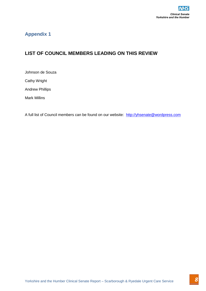# Yorkshire and T<br>Voltation And The Humber Clinical Senate Report – Scarborough & Report – Scarborough & Ryedale Urgent Care Service<br>Darks Andrew Phillips<br>Andrew Phillips<br>Native Millips<br>And Mark Millips<br>Yorkshire and the Hum **LIST OF COUNCIL MEMBERS LEADING ON THIS REVIEW**

Johnson de Souza

Cathy Wright

Andrew Phillips

Mark Millins

A full list of Council members can be found on our website: [http://yhsenate@wordpress.com](http://yhsenate@wordpress.com/)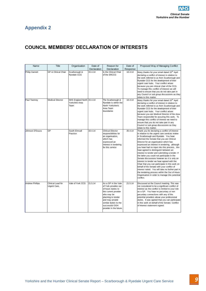# **COUNCIL MEMBERS' DECLARATION OF INTERESTS**

| Name                   | <b>Title</b>                      | Organisation                                        | Date of<br>Declaration | Reason for<br>Declaration                                                                                                                                                                                              | Date of<br>Response | Proposed Way of Managing Conflict                                                                                                                                                                                                                                                                                                                                                                                                                                                                                                                                                                                                                                                                                                                                                                                                         |
|------------------------|-----------------------------------|-----------------------------------------------------|------------------------|------------------------------------------------------------------------------------------------------------------------------------------------------------------------------------------------------------------------|---------------------|-------------------------------------------------------------------------------------------------------------------------------------------------------------------------------------------------------------------------------------------------------------------------------------------------------------------------------------------------------------------------------------------------------------------------------------------------------------------------------------------------------------------------------------------------------------------------------------------------------------------------------------------------------------------------------------------------------------------------------------------------------------------------------------------------------------------------------------------|
| <b>Philip Garnett</b>  | GP & Clinical Chair               | Scarborough &<br><b>Ryedale CCG</b>                 | 15.4.14                | Is the Clinical Chair<br>of the SRCCG                                                                                                                                                                                  | 16.4.14             | Many thanks for your email dated 15 <sup>th</sup> April<br>declaring a conflict of interest in relation to<br>the work referred to us from Scarborough and<br>Ryedale CCG for the development of their<br>urgent care hubs. Your conflict arises<br>because you are clinical chair of the CCG.<br>To manage this conflict of interest we will<br>need to ensure that you do not take part in<br>any Council or sub group discussions as they<br>relate to this matter.                                                                                                                                                                                                                                                                                                                                                                    |
| Paul Twomey            | <b>Medical Director</b>           | NHS England North 15.4.14<br>Yorkshire Area<br>Team |                        | The Scarborough &<br>Ryedale is within the<br>North Yorkshire's<br>Area Team<br>boundaries                                                                                                                             | 16.4.14             | Many thanks for your email dated 15 <sup>th</sup> April<br>declaring a conflict of interest in relation to<br>the work referred to us from Scarborough and<br>Ryedale CCG for the development of their<br>urgent care hubs. Your conflict arises<br>because you are Medical Director of the Area<br>Team responsible for assuring this work. To<br>manage this conflict of interest we need to<br>ensure that you do not take part in any<br>Council or sub group discussions as they<br>relate to this matter.                                                                                                                                                                                                                                                                                                                           |
| Johnson D'Souza        | GP                                | South Elmsall<br>Practice                           | 16.4.14                | <b>Clinical Director</b><br>responsibilities for<br>an organisation,<br>which has<br>expressed an<br>interest in tendering<br>for this service                                                                         | 30.4.14             | Thank you for declaring a conflict of interest<br>in relation to the urgent care services review<br>in Scarborough and Ryedale. You have<br>informed the Senate that you are Clinical<br>Director for an organisation which has<br>expressed an interest in tendering, although<br>you have had no input into this process. We<br>have agreed to distinguish between an<br>interest to tender and submitting a tender. If<br>the latter you could not participate in the<br>Senate discussions however as it is only an<br>interest to tender we have agreed with the<br>Chair that you can participate in this work on<br>behalf of the Senate with your conflict of<br>interest noted. You will take no further part in<br>the tendering process within the Out of Hours<br>Organisation in order to manage this potential<br>conflict. |
| <b>Andrew Phillips</b> | Clinical Lead for<br>Urgent Care, | Vale of York CCG                                    | 21.5.14                | As a GP in the Vale<br>of York provides out<br>of hours duties to<br>the current provider<br>who may be<br>planning to tender<br>and may provide<br>similar duties to the<br>successful OOH<br>provider in the future. | 21.5.14             | Discussed at the Council meeting. This was<br>not considered to be a significant conflict of<br>interest as the conflict is limited to your role<br>as a GP. You have no pecuniary or non<br>pecuniary connections with any of the<br>potential providers above your professional<br>duties. It was agreed that you can participate<br>in this work on behalf of the Senate. Conflict<br>of Interest statement signed.                                                                                                                                                                                                                                                                                                                                                                                                                    |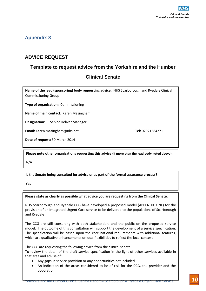### **ADVICE REQUEST**

### **Template to request advice from the Yorkshire and the Humber**

### **Clinical Senate**

**Name of the lead (sponsoring) body requesting advice:** NHS Scarborough and Ryedale Clinical Commissioning Group

**Type of organisation:** Commissioning

**Name of main contact:** Karen Mazingham

**Designation:** Senior Deliver Manager

**Email:** Karen.mazingham@nhs.net **Tel:** 07921384271

**Date of request:** 30 March 2014

**Please note other organisations requesting this advice (if more than the lead body noted above):**

N/A

**Is the Senate being consulted for advice or as part of the formal assurance process?**

Yes

**Please state as clearly as possible what advice you are requesting from the Clinical Senate.**

NHS Scarborough and Ryedale CCG have developed a proposed model (APPENDIX ONE) for the provision of an Integrated Urgent Care service to be delivered to the populations of Scarborough and Ryedale

Yorkshire and **ADVICE REQUEST**<br> **Template to request advice from the Yorkshire and the Humber Clinical Senate**<br>
Name of the lead (sponsoring) body requesting advice: NHS Scarborough and Ryedale Clinical<br>
Commissioning Grou The CCG are still consulting with both stakeholders and the public on the proposed service model. The outcome of this consultation will support the development of a service specification. The specification will be based upon the core national requirements with additional features, which are qualitative enhancements or local flexibilities to reflect the local context

The CCG are requesting the following advice from the clinical senate:

To review the detail of the draft service specification in the light of other services available in that area and advise of:

- Any gaps in service provision or any opportunities not included
- An indication of the areas considered to be of risk for the CCG, the provider and the population.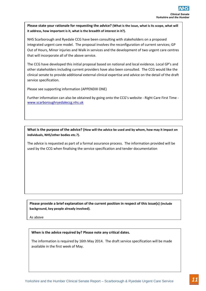**Please state your rationale for requesting the advice? (What is the issue, what is its scope, what will it address, how important is it, what is the breadth of interest in it?).**

Yorkshire and the Humber Clinical Service Service Report of the Humber Clinical Service Clinical Service Clinical Service Report in the Humber Clinical Service Clinical Service Clinical Service Conserved Conserved Conserve NHS Scarborough and Ryedale CCG have been consulting with stakeholders on a proposed integrated urgent care model. The proposal involves the reconfiguration of current services; GP Out of Hours, Minor injuries and Walk in services and the development of two urgent care centres that will incorporate all of the above service.

The CCG have developed this initial proposal based on national and local evidence. Local GP's and other stakeholders including current providers have also been consulted. The CCG would like the clinical senate to provide additional external clinical expertise and advice on the detail of the draft service specification.

Please see supporting information (APPENDIX ONE)

Further information can also be obtained by going onto the CCG's website - Right Care First Time [www.scarboroughryedaleccg.nhs.uk](http://www.scarboroughryedaleccg.nhs.uk/)

**What is the purpose of the advice? (How will the advice be used and by whom, how may it impact on individuals, NHS/other bodies etc.?).**

The advice is requested as part of a formal assurance process. The information provided will be used by the CCG when finalising the service specification and tender documentation

**Please provide a brief explanation of the current position in respect of this issue(s) (include background, key people already involved).** 

As above

### **When is the advice required by? Please note any critical dates.**

The information is required by 16th May 2014. The draft service specification will be made available in the first week of May.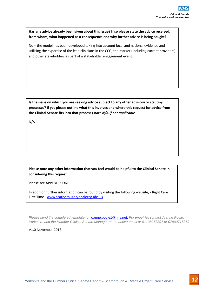**Has any advice already been given about this issue? If so please state the advice received, from whom, what happened as a consequence and why further advice is being sought?** 

Yorkshire and<br>This any advice already been given about this issue? If so please state the advice received,<br>
from whom, what happened as a consequence and why further advice is being sought?<br>
Note the Humber Clinical Secret No – the model has been developed taking into account local and national evidence and utilising the expertise of the lead clinicians in the CCG, the market (including current providers) and other stakeholders as part of a stakeholder engagement event

**Is the issue on which you are seeking advice subject to any other advisory or scrutiny processes? If yes please outline what this involves and where this request for advice from the Clinical Senate fits into that process (***state N/A if not applicable*

N/A

**Please note any other information that you feel would be helpful to the Clinical Senate in considering this request.** 

Please see APPENDIX ONE

In addition further information can be found by visiting the following website; - Right Care First Time - [www.scarboroughryedaleccg.nhs.uk](http://www.scarboroughryedaleccg.nhs.uk/) 

*Please send the completed template to:* [joanne.poole1@nhs.net.](mailto:joanne.poole1@nhs.net) *For enquiries contact Joanne Poole, Yorkshire and the Humber Clinical Senate Manager at the above email or 01138253397 or 07900715369*

V1.0 November 2013